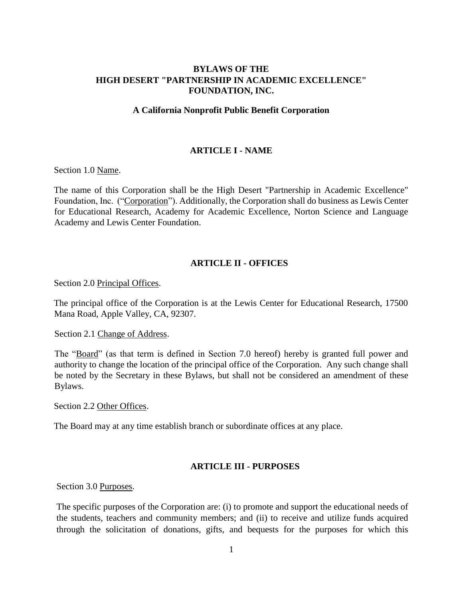## **BYLAWS OF THE HIGH DESERT "PARTNERSHIP IN ACADEMIC EXCELLENCE" FOUNDATION, INC.**

#### **A California Nonprofit Public Benefit Corporation**

#### **ARTICLE I - NAME**

Section 1.0 Name.

The name of this Corporation shall be the High Desert "Partnership in Academic Excellence" Foundation, Inc. ("Corporation"). Additionally, the Corporation shall do business as Lewis Center for Educational Research, Academy for Academic Excellence, Norton Science and Language Academy and Lewis Center Foundation.

## **ARTICLE II - OFFICES**

Section 2.0 Principal Offices.

The principal office of the Corporation is at the Lewis Center for Educational Research, 17500 Mana Road, Apple Valley, CA, 92307.

Section 2.1 Change of Address.

The "Board" (as that term is defined in Section 7.0 hereof) hereby is granted full power and authority to change the location of the principal office of the Corporation. Any such change shall be noted by the Secretary in these Bylaws, but shall not be considered an amendment of these Bylaws.

Section 2.2 Other Offices.

The Board may at any time establish branch or subordinate offices at any place.

## **ARTICLE III - PURPOSES**

Section 3.0 Purposes.

The specific purposes of the Corporation are: (i) to promote and support the educational needs of the students, teachers and community members; and (ii) to receive and utilize funds acquired through the solicitation of donations, gifts, and bequests for the purposes for which this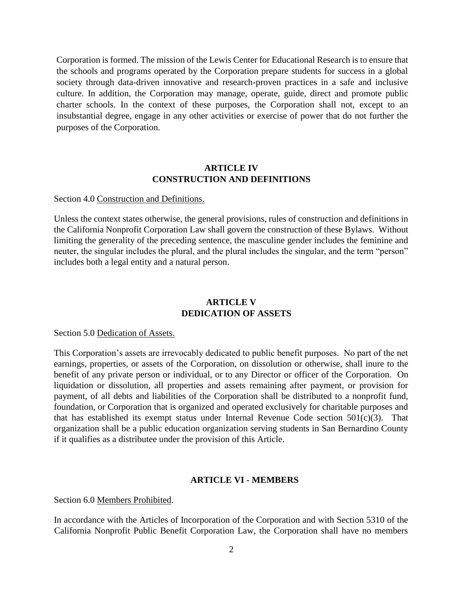Corporation is formed. The mission of the Lewis Center for Educational Research is to ensure that the schools and programs operated by the Corporation prepare students for success in a global society through data-driven innovative and research-proven practices in a safe and inclusive culture. In addition, the Corporation may manage, operate, guide, direct and promote public charter schools. In the context of these purposes, the Corporation shall not, except to an insubstantial degree, engage in any other activities or exercise of power that do not further the purposes of the Corporation.

### **ARTICLE IV CONSTRUCTION AND DEFINITIONS**

#### Section 4.0 Construction and Definitions.

Unless the context states otherwise, the general provisions, rules of construction and definitions in the California Nonprofit Corporation Law shall govern the construction of these Bylaws. Without limiting the generality of the preceding sentence, the masculine gender includes the feminine and neuter, the singular includes the plural, and the plural includes the singular, and the term "person" includes both a legal entity and a natural person.

## **ARTICLE V DEDICATION OF ASSETS**

#### Section 5.0 Dedication of Assets.

This Corporation's assets are irrevocably dedicated to public benefit purposes. No part of the net earnings, properties, or assets of the Corporation, on dissolution or otherwise, shall inure to the benefit of any private person or individual, or to any Director or officer of the Corporation. On liquidation or dissolution, all properties and assets remaining after payment, or provision for payment, of all debts and liabilities of the Corporation shall be distributed to a nonprofit fund, foundation, or Corporation that is organized and operated exclusively for charitable purposes and that has established its exempt status under Internal Revenue Code section  $501(c)(3)$ . That organization shall be a public education organization serving students in San Bernardino County if it qualifies as a distributee under the provision of this Article.

#### **ARTICLE VI - MEMBERS**

Section 6.0 Members Prohibited.

In accordance with the Articles of Incorporation of the Corporation and with Section 5310 of the California Nonprofit Public Benefit Corporation Law, the Corporation shall have no members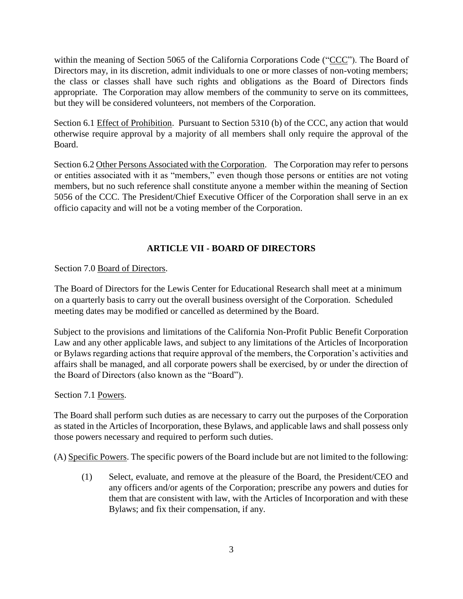within the meaning of Section 5065 of the California Corporations Code ("CCC"). The Board of Directors may, in its discretion, admit individuals to one or more classes of non-voting members; the class or classes shall have such rights and obligations as the Board of Directors finds appropriate. The Corporation may allow members of the community to serve on its committees, but they will be considered volunteers, not members of the Corporation.

Section 6.1 Effect of Prohibition. Pursuant to Section 5310 (b) of the CCC, any action that would otherwise require approval by a majority of all members shall only require the approval of the Board.

Section 6.2 Other Persons Associated with the Corporation. The Corporation may refer to persons or entities associated with it as "members," even though those persons or entities are not voting members, but no such reference shall constitute anyone a member within the meaning of Section 5056 of the CCC. The President/Chief Executive Officer of the Corporation shall serve in an ex officio capacity and will not be a voting member of the Corporation.

# **ARTICLE VII - BOARD OF DIRECTORS**

Section 7.0 Board of Directors.

The Board of Directors for the Lewis Center for Educational Research shall meet at a minimum on a quarterly basis to carry out the overall business oversight of the Corporation. Scheduled meeting dates may be modified or cancelled as determined by the Board.

Subject to the provisions and limitations of the California Non-Profit Public Benefit Corporation Law and any other applicable laws, and subject to any limitations of the Articles of Incorporation or Bylaws regarding actions that require approval of the members, the Corporation's activities and affairs shall be managed, and all corporate powers shall be exercised, by or under the direction of the Board of Directors (also known as the "Board").

## Section 7.1 Powers.

The Board shall perform such duties as are necessary to carry out the purposes of the Corporation as stated in the Articles of Incorporation, these Bylaws, and applicable laws and shall possess only those powers necessary and required to perform such duties.

(A) Specific Powers. The specific powers of the Board include but are not limited to the following:

(1) Select, evaluate, and remove at the pleasure of the Board, the President/CEO and any officers and/or agents of the Corporation; prescribe any powers and duties for them that are consistent with law, with the Articles of Incorporation and with these Bylaws; and fix their compensation, if any.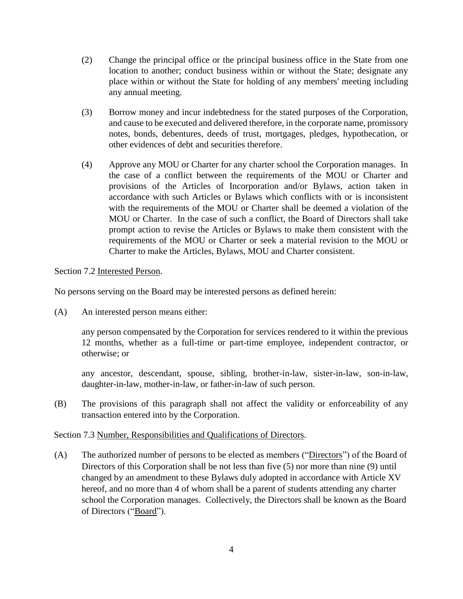- (2) Change the principal office or the principal business office in the State from one location to another; conduct business within or without the State; designate any place within or without the State for holding of any members' meeting including any annual meeting.
- (3) Borrow money and incur indebtedness for the stated purposes of the Corporation, and cause to be executed and delivered therefore, in the corporate name, promissory notes, bonds, debentures, deeds of trust, mortgages, pledges, hypothecation, or other evidences of debt and securities therefore.
- (4) Approve any MOU or Charter for any charter school the Corporation manages. In the case of a conflict between the requirements of the MOU or Charter and provisions of the Articles of Incorporation and/or Bylaws, action taken in accordance with such Articles or Bylaws which conflicts with or is inconsistent with the requirements of the MOU or Charter shall be deemed a violation of the MOU or Charter. In the case of such a conflict, the Board of Directors shall take prompt action to revise the Articles or Bylaws to make them consistent with the requirements of the MOU or Charter or seek a material revision to the MOU or Charter to make the Articles, Bylaws, MOU and Charter consistent.

## Section 7.2 Interested Person.

No persons serving on the Board may be interested persons as defined herein:

(A) An interested person means either:

any person compensated by the Corporation for services rendered to it within the previous 12 months, whether as a full-time or part-time employee, independent contractor, or otherwise; or

any ancestor, descendant, spouse, sibling, brother-in-law, sister-in-law, son-in-law, daughter-in-law, mother-in-law, or father-in-law of such person.

(B) The provisions of this paragraph shall not affect the validity or enforceability of any transaction entered into by the Corporation.

## Section 7.3 Number, Responsibilities and Qualifications of Directors.

(A) The authorized number of persons to be elected as members ("Directors") of the Board of Directors of this Corporation shall be not less than five (5) nor more than nine (9) until changed by an amendment to these Bylaws duly adopted in accordance with Article XV hereof, and no more than 4 of whom shall be a parent of students attending any charter school the Corporation manages. Collectively, the Directors shall be known as the Board of Directors ("Board").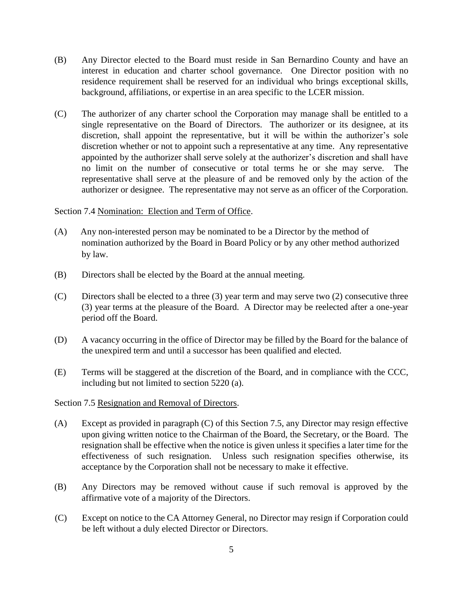- (B) Any Director elected to the Board must reside in San Bernardino County and have an interest in education and charter school governance. One Director position with no residence requirement shall be reserved for an individual who brings exceptional skills, background, affiliations, or expertise in an area specific to the LCER mission.
- (C) The authorizer of any charter school the Corporation may manage shall be entitled to a single representative on the Board of Directors. The authorizer or its designee, at its discretion, shall appoint the representative, but it will be within the authorizer's sole discretion whether or not to appoint such a representative at any time. Any representative appointed by the authorizer shall serve solely at the authorizer's discretion and shall have no limit on the number of consecutive or total terms he or she may serve. The representative shall serve at the pleasure of and be removed only by the action of the authorizer or designee. The representative may not serve as an officer of the Corporation.

#### Section 7.4 Nomination: Election and Term of Office.

- (A) Any non-interested person may be nominated to be a Director by the method of nomination authorized by the Board in Board Policy or by any other method authorized by law.
- (B) Directors shall be elected by the Board at the annual meeting.
- (C) Directors shall be elected to a three  $(3)$  year term and may serve two  $(2)$  consecutive three (3) year terms at the pleasure of the Board. A Director may be reelected after a one-year period off the Board.
- (D) A vacancy occurring in the office of Director may be filled by the Board for the balance of the unexpired term and until a successor has been qualified and elected.
- (E) Terms will be staggered at the discretion of the Board, and in compliance with the CCC, including but not limited to section 5220 (a).

#### Section 7.5 Resignation and Removal of Directors.

- (A) Except as provided in paragraph (C) of this Section 7.5, any Director may resign effective upon giving written notice to the Chairman of the Board, the Secretary, or the Board. The resignation shall be effective when the notice is given unless it specifies a later time for the effectiveness of such resignation. Unless such resignation specifies otherwise, its acceptance by the Corporation shall not be necessary to make it effective.
- (B) Any Directors may be removed without cause if such removal is approved by the affirmative vote of a majority of the Directors.
- (C) Except on notice to the CA Attorney General, no Director may resign if Corporation could be left without a duly elected Director or Directors.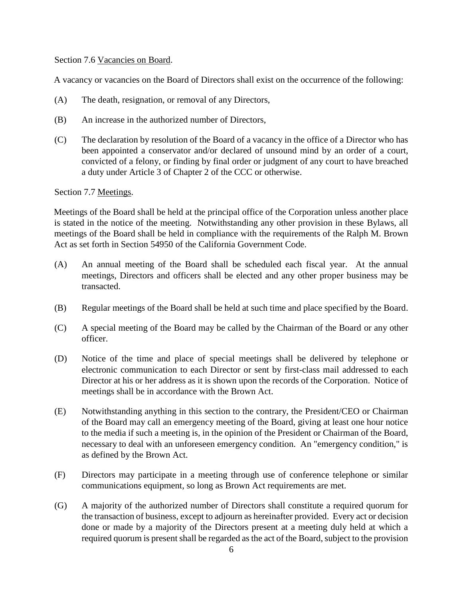Section 7.6 Vacancies on Board.

A vacancy or vacancies on the Board of Directors shall exist on the occurrence of the following:

- (A) The death, resignation, or removal of any Directors,
- (B) An increase in the authorized number of Directors,
- (C) The declaration by resolution of the Board of a vacancy in the office of a Director who has been appointed a conservator and/or declared of unsound mind by an order of a court, convicted of a felony, or finding by final order or judgment of any court to have breached a duty under Article 3 of Chapter 2 of the CCC or otherwise.

## Section 7.7 Meetings.

Meetings of the Board shall be held at the principal office of the Corporation unless another place is stated in the notice of the meeting. Notwithstanding any other provision in these Bylaws, all meetings of the Board shall be held in compliance with the requirements of the Ralph M. Brown Act as set forth in Section 54950 of the California Government Code.

- (A) An annual meeting of the Board shall be scheduled each fiscal year. At the annual meetings, Directors and officers shall be elected and any other proper business may be transacted.
- (B) Regular meetings of the Board shall be held at such time and place specified by the Board.
- (C) A special meeting of the Board may be called by the Chairman of the Board or any other officer.
- (D) Notice of the time and place of special meetings shall be delivered by telephone or electronic communication to each Director or sent by first-class mail addressed to each Director at his or her address as it is shown upon the records of the Corporation. Notice of meetings shall be in accordance with the Brown Act.
- (E) Notwithstanding anything in this section to the contrary, the President/CEO or Chairman of the Board may call an emergency meeting of the Board, giving at least one hour notice to the media if such a meeting is, in the opinion of the President or Chairman of the Board, necessary to deal with an unforeseen emergency condition. An "emergency condition," is as defined by the Brown Act.
- (F) Directors may participate in a meeting through use of conference telephone or similar communications equipment, so long as Brown Act requirements are met.
- (G) A majority of the authorized number of Directors shall constitute a required quorum for the transaction of business, except to adjourn as hereinafter provided. Every act or decision done or made by a majority of the Directors present at a meeting duly held at which a required quorum is present shall be regarded as the act of the Board, subject to the provision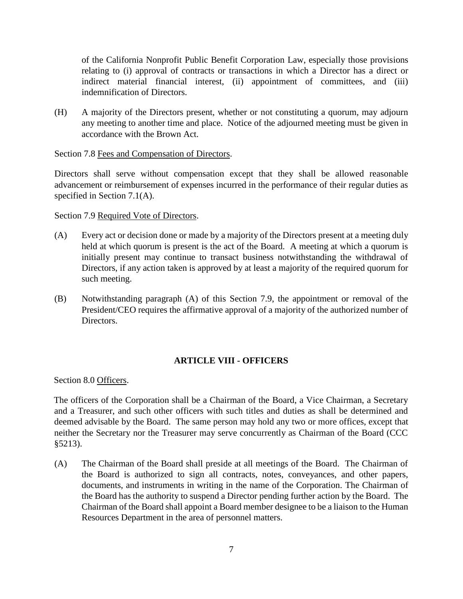of the California Nonprofit Public Benefit Corporation Law, especially those provisions relating to (i) approval of contracts or transactions in which a Director has a direct or indirect material financial interest, (ii) appointment of committees, and (iii) indemnification of Directors.

(H) A majority of the Directors present, whether or not constituting a quorum, may adjourn any meeting to another time and place. Notice of the adjourned meeting must be given in accordance with the Brown Act.

## Section 7.8 Fees and Compensation of Directors.

Directors shall serve without compensation except that they shall be allowed reasonable advancement or reimbursement of expenses incurred in the performance of their regular duties as specified in Section 7.1(A).

#### Section 7.9 Required Vote of Directors.

- (A) Every act or decision done or made by a majority of the Directors present at a meeting duly held at which quorum is present is the act of the Board. A meeting at which a quorum is initially present may continue to transact business notwithstanding the withdrawal of Directors, if any action taken is approved by at least a majority of the required quorum for such meeting.
- (B) Notwithstanding paragraph (A) of this Section 7.9, the appointment or removal of the President/CEO requires the affirmative approval of a majority of the authorized number of Directors.

## **ARTICLE VIII - OFFICERS**

Section 8.0 Officers.

The officers of the Corporation shall be a Chairman of the Board, a Vice Chairman, a Secretary and a Treasurer, and such other officers with such titles and duties as shall be determined and deemed advisable by the Board. The same person may hold any two or more offices, except that neither the Secretary nor the Treasurer may serve concurrently as Chairman of the Board (CCC §5213).

(A) The Chairman of the Board shall preside at all meetings of the Board. The Chairman of the Board is authorized to sign all contracts, notes, conveyances, and other papers, documents, and instruments in writing in the name of the Corporation. The Chairman of the Board has the authority to suspend a Director pending further action by the Board. The Chairman of the Board shall appoint a Board member designee to be a liaison to the Human Resources Department in the area of personnel matters.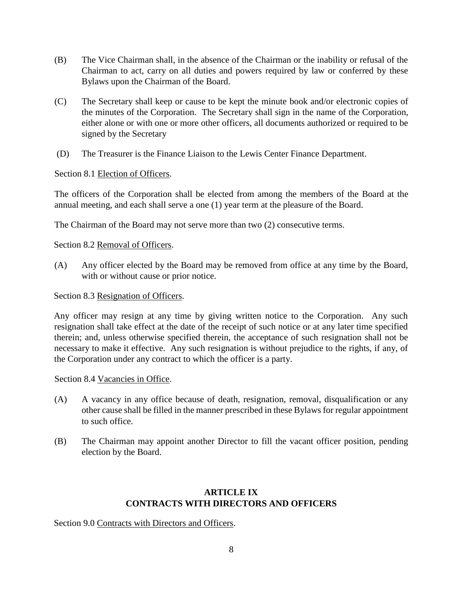- (B) The Vice Chairman shall, in the absence of the Chairman or the inability or refusal of the Chairman to act, carry on all duties and powers required by law or conferred by these Bylaws upon the Chairman of the Board.
- (C) The Secretary shall keep or cause to be kept the minute book and/or electronic copies of the minutes of the Corporation. The Secretary shall sign in the name of the Corporation, either alone or with one or more other officers, all documents authorized or required to be signed by the Secretary
- (D) The Treasurer is the Finance Liaison to the Lewis Center Finance Department.

Section 8.1 Election of Officers.

The officers of the Corporation shall be elected from among the members of the Board at the annual meeting, and each shall serve a one (1) year term at the pleasure of the Board.

The Chairman of the Board may not serve more than two (2) consecutive terms.

Section 8.2 Removal of Officers.

(A) Any officer elected by the Board may be removed from office at any time by the Board, with or without cause or prior notice.

Section 8.3 Resignation of Officers.

Any officer may resign at any time by giving written notice to the Corporation. Any such resignation shall take effect at the date of the receipt of such notice or at any later time specified therein; and, unless otherwise specified therein, the acceptance of such resignation shall not be necessary to make it effective. Any such resignation is without prejudice to the rights, if any, of the Corporation under any contract to which the officer is a party.

Section 8.4 Vacancies in Office.

- (A) A vacancy in any office because of death, resignation, removal, disqualification or any other cause shall be filled in the manner prescribed in these Bylaws for regular appointment to such office.
- (B) The Chairman may appoint another Director to fill the vacant officer position, pending election by the Board.

## **ARTICLE IX CONTRACTS WITH DIRECTORS AND OFFICERS**

Section 9.0 Contracts with Directors and Officers.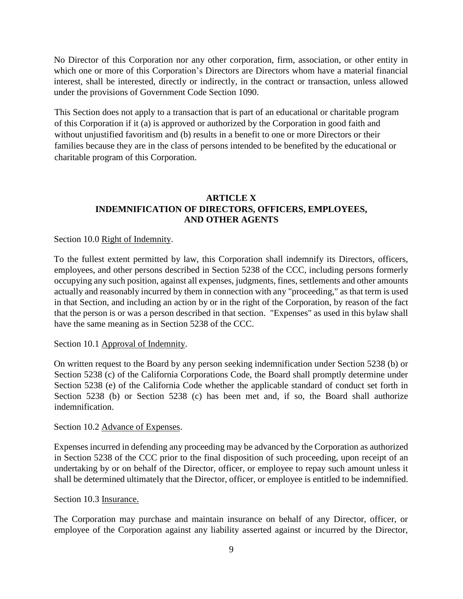No Director of this Corporation nor any other corporation, firm, association, or other entity in which one or more of this Corporation's Directors are Directors whom have a material financial interest, shall be interested, directly or indirectly, in the contract or transaction, unless allowed under the provisions of Government Code Section 1090.

This Section does not apply to a transaction that is part of an educational or charitable program of this Corporation if it (a) is approved or authorized by the Corporation in good faith and without unjustified favoritism and (b) results in a benefit to one or more Directors or their families because they are in the class of persons intended to be benefited by the educational or charitable program of this Corporation.

# **ARTICLE X INDEMNIFICATION OF DIRECTORS, OFFICERS, EMPLOYEES, AND OTHER AGENTS**

## Section 10.0 Right of Indemnity.

To the fullest extent permitted by law, this Corporation shall indemnify its Directors, officers, employees, and other persons described in Section 5238 of the CCC, including persons formerly occupying any such position, against all expenses, judgments, fines, settlements and other amounts actually and reasonably incurred by them in connection with any "proceeding," as that term is used in that Section, and including an action by or in the right of the Corporation, by reason of the fact that the person is or was a person described in that section. "Expenses" as used in this bylaw shall have the same meaning as in Section 5238 of the CCC.

## Section 10.1 Approval of Indemnity.

On written request to the Board by any person seeking indemnification under Section 5238 (b) or Section 5238 (c) of the California Corporations Code, the Board shall promptly determine under Section 5238 (e) of the California Code whether the applicable standard of conduct set forth in Section 5238 (b) or Section 5238 (c) has been met and, if so, the Board shall authorize indemnification.

## Section 10.2 Advance of Expenses.

Expenses incurred in defending any proceeding may be advanced by the Corporation as authorized in Section 5238 of the CCC prior to the final disposition of such proceeding, upon receipt of an undertaking by or on behalf of the Director, officer, or employee to repay such amount unless it shall be determined ultimately that the Director, officer, or employee is entitled to be indemnified.

#### Section 10.3 Insurance.

The Corporation may purchase and maintain insurance on behalf of any Director, officer, or employee of the Corporation against any liability asserted against or incurred by the Director,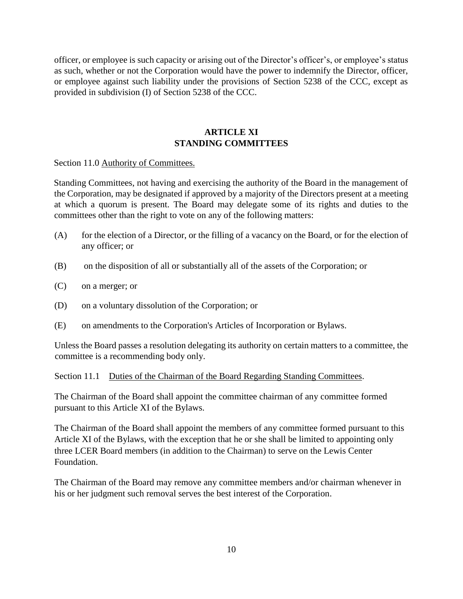officer, or employee is such capacity or arising out of the Director's officer's, or employee's status as such, whether or not the Corporation would have the power to indemnify the Director, officer, or employee against such liability under the provisions of Section 5238 of the CCC, except as provided in subdivision (I) of Section 5238 of the CCC.

## **ARTICLE XI STANDING COMMITTEES**

Section 11.0 Authority of Committees.

Standing Committees, not having and exercising the authority of the Board in the management of the Corporation, may be designated if approved by a majority of the Directors present at a meeting at which a quorum is present. The Board may delegate some of its rights and duties to the committees other than the right to vote on any of the following matters:

- (A) for the election of a Director, or the filling of a vacancy on the Board, or for the election of any officer; or
- (B) on the disposition of all or substantially all of the assets of the Corporation; or
- (C) on a merger; or
- (D) on a voluntary dissolution of the Corporation; or
- (E) on amendments to the Corporation's Articles of Incorporation or Bylaws.

Unless the Board passes a resolution delegating its authority on certain matters to a committee, the committee is a recommending body only.

Section 11.1 Duties of the Chairman of the Board Regarding Standing Committees.

The Chairman of the Board shall appoint the committee chairman of any committee formed pursuant to this Article XI of the Bylaws.

The Chairman of the Board shall appoint the members of any committee formed pursuant to this Article XI of the Bylaws, with the exception that he or she shall be limited to appointing only three LCER Board members (in addition to the Chairman) to serve on the Lewis Center Foundation.

The Chairman of the Board may remove any committee members and/or chairman whenever in his or her judgment such removal serves the best interest of the Corporation.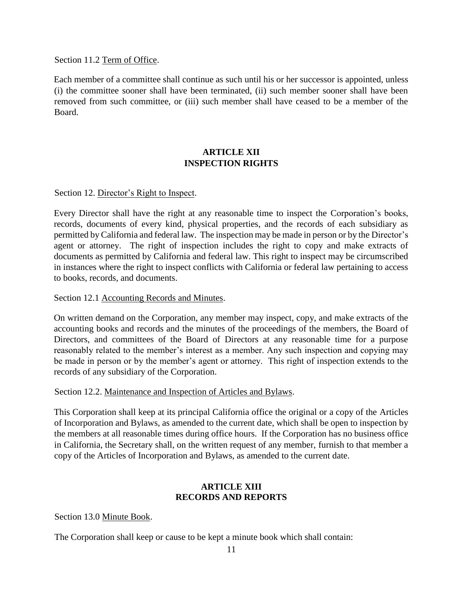Section 11.2 Term of Office.

Each member of a committee shall continue as such until his or her successor is appointed, unless (i) the committee sooner shall have been terminated, (ii) such member sooner shall have been removed from such committee, or (iii) such member shall have ceased to be a member of the Board.

# **ARTICLE XII INSPECTION RIGHTS**

## Section 12. Director's Right to Inspect.

Every Director shall have the right at any reasonable time to inspect the Corporation's books, records, documents of every kind, physical properties, and the records of each subsidiary as permitted by California and federal law. The inspection may be made in person or by the Director's agent or attorney. The right of inspection includes the right to copy and make extracts of documents as permitted by California and federal law. This right to inspect may be circumscribed in instances where the right to inspect conflicts with California or federal law pertaining to access to books, records, and documents.

### Section 12.1 Accounting Records and Minutes.

On written demand on the Corporation, any member may inspect, copy, and make extracts of the accounting books and records and the minutes of the proceedings of the members, the Board of Directors, and committees of the Board of Directors at any reasonable time for a purpose reasonably related to the member's interest as a member. Any such inspection and copying may be made in person or by the member's agent or attorney. This right of inspection extends to the records of any subsidiary of the Corporation.

#### Section 12.2. Maintenance and Inspection of Articles and Bylaws.

This Corporation shall keep at its principal California office the original or a copy of the Articles of Incorporation and Bylaws, as amended to the current date, which shall be open to inspection by the members at all reasonable times during office hours. If the Corporation has no business office in California, the Secretary shall, on the written request of any member, furnish to that member a copy of the Articles of Incorporation and Bylaws, as amended to the current date.

## **ARTICLE XIII RECORDS AND REPORTS**

Section 13.0 Minute Book.

The Corporation shall keep or cause to be kept a minute book which shall contain: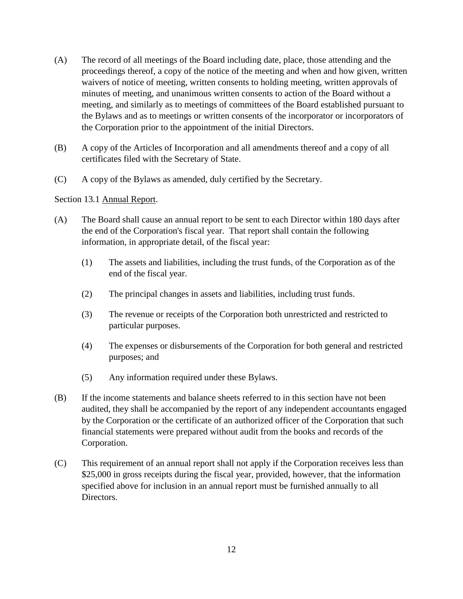- (A) The record of all meetings of the Board including date, place, those attending and the proceedings thereof, a copy of the notice of the meeting and when and how given, written waivers of notice of meeting, written consents to holding meeting, written approvals of minutes of meeting, and unanimous written consents to action of the Board without a meeting, and similarly as to meetings of committees of the Board established pursuant to the Bylaws and as to meetings or written consents of the incorporator or incorporators of the Corporation prior to the appointment of the initial Directors.
- (B) A copy of the Articles of Incorporation and all amendments thereof and a copy of all certificates filed with the Secretary of State.
- (C) A copy of the Bylaws as amended, duly certified by the Secretary.

#### Section 13.1 Annual Report.

- (A) The Board shall cause an annual report to be sent to each Director within 180 days after the end of the Corporation's fiscal year. That report shall contain the following information, in appropriate detail, of the fiscal year:
	- (1) The assets and liabilities, including the trust funds, of the Corporation as of the end of the fiscal year.
	- (2) The principal changes in assets and liabilities, including trust funds.
	- (3) The revenue or receipts of the Corporation both unrestricted and restricted to particular purposes.
	- (4) The expenses or disbursements of the Corporation for both general and restricted purposes; and
	- (5) Any information required under these Bylaws.
- (B) If the income statements and balance sheets referred to in this section have not been audited, they shall be accompanied by the report of any independent accountants engaged by the Corporation or the certificate of an authorized officer of the Corporation that such financial statements were prepared without audit from the books and records of the Corporation.
- (C) This requirement of an annual report shall not apply if the Corporation receives less than \$25,000 in gross receipts during the fiscal year, provided, however, that the information specified above for inclusion in an annual report must be furnished annually to all Directors.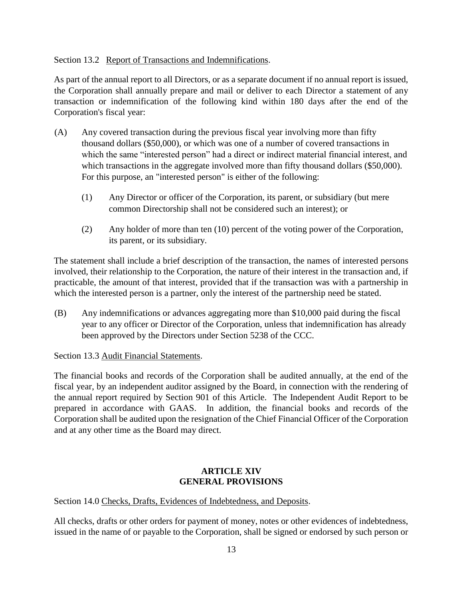## Section 13.2 Report of Transactions and Indemnifications.

As part of the annual report to all Directors, or as a separate document if no annual report is issued, the Corporation shall annually prepare and mail or deliver to each Director a statement of any transaction or indemnification of the following kind within 180 days after the end of the Corporation's fiscal year:

- (A) Any covered transaction during the previous fiscal year involving more than fifty thousand dollars (\$50,000), or which was one of a number of covered transactions in which the same "interested person" had a direct or indirect material financial interest, and which transactions in the aggregate involved more than fifty thousand dollars (\$50,000). For this purpose, an "interested person" is either of the following:
	- (1) Any Director or officer of the Corporation, its parent, or subsidiary (but mere common Directorship shall not be considered such an interest); or
	- (2) Any holder of more than ten (10) percent of the voting power of the Corporation, its parent, or its subsidiary.

The statement shall include a brief description of the transaction, the names of interested persons involved, their relationship to the Corporation, the nature of their interest in the transaction and, if practicable, the amount of that interest, provided that if the transaction was with a partnership in which the interested person is a partner, only the interest of the partnership need be stated.

(B) Any indemnifications or advances aggregating more than \$10,000 paid during the fiscal year to any officer or Director of the Corporation, unless that indemnification has already been approved by the Directors under Section 5238 of the CCC.

Section 13.3 Audit Financial Statements.

The financial books and records of the Corporation shall be audited annually, at the end of the fiscal year, by an independent auditor assigned by the Board, in connection with the rendering of the annual report required by Section 901 of this Article. The Independent Audit Report to be prepared in accordance with GAAS. In addition, the financial books and records of the Corporation shall be audited upon the resignation of the Chief Financial Officer of the Corporation and at any other time as the Board may direct.

## **ARTICLE XIV GENERAL PROVISIONS**

Section 14.0 Checks, Drafts, Evidences of Indebtedness, and Deposits.

All checks, drafts or other orders for payment of money, notes or other evidences of indebtedness, issued in the name of or payable to the Corporation, shall be signed or endorsed by such person or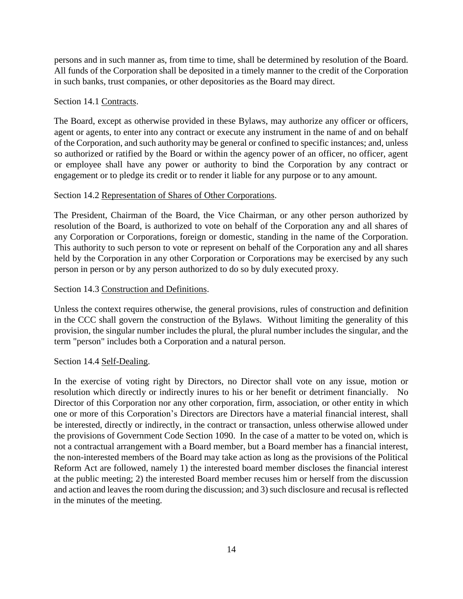persons and in such manner as, from time to time, shall be determined by resolution of the Board. All funds of the Corporation shall be deposited in a timely manner to the credit of the Corporation in such banks, trust companies, or other depositories as the Board may direct.

## Section 14.1 Contracts.

The Board, except as otherwise provided in these Bylaws, may authorize any officer or officers, agent or agents, to enter into any contract or execute any instrument in the name of and on behalf of the Corporation, and such authority may be general or confined to specific instances; and, unless so authorized or ratified by the Board or within the agency power of an officer, no officer, agent or employee shall have any power or authority to bind the Corporation by any contract or engagement or to pledge its credit or to render it liable for any purpose or to any amount.

## Section 14.2 Representation of Shares of Other Corporations.

The President, Chairman of the Board, the Vice Chairman, or any other person authorized by resolution of the Board, is authorized to vote on behalf of the Corporation any and all shares of any Corporation or Corporations, foreign or domestic, standing in the name of the Corporation. This authority to such person to vote or represent on behalf of the Corporation any and all shares held by the Corporation in any other Corporation or Corporations may be exercised by any such person in person or by any person authorized to do so by duly executed proxy.

## Section 14.3 Construction and Definitions.

Unless the context requires otherwise, the general provisions, rules of construction and definition in the CCC shall govern the construction of the Bylaws. Without limiting the generality of this provision, the singular number includes the plural, the plural number includes the singular, and the term "person" includes both a Corporation and a natural person.

## Section 14.4 Self-Dealing.

In the exercise of voting right by Directors, no Director shall vote on any issue, motion or resolution which directly or indirectly inures to his or her benefit or detriment financially. No Director of this Corporation nor any other corporation, firm, association, or other entity in which one or more of this Corporation's Directors are Directors have a material financial interest, shall be interested, directly or indirectly, in the contract or transaction, unless otherwise allowed under the provisions of Government Code Section 1090. In the case of a matter to be voted on, which is not a contractual arrangement with a Board member, but a Board member has a financial interest, the non-interested members of the Board may take action as long as the provisions of the Political Reform Act are followed, namely 1) the interested board member discloses the financial interest at the public meeting; 2) the interested Board member recuses him or herself from the discussion and action and leaves the room during the discussion; and 3) such disclosure and recusal is reflected in the minutes of the meeting.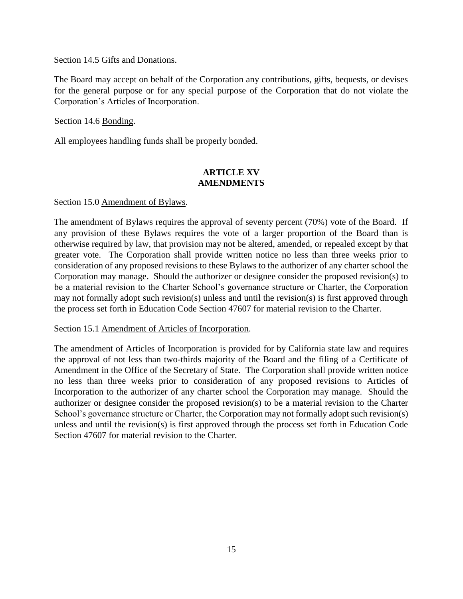Section 14.5 Gifts and Donations.

The Board may accept on behalf of the Corporation any contributions, gifts, bequests, or devises for the general purpose or for any special purpose of the Corporation that do not violate the Corporation's Articles of Incorporation.

Section 14.6 Bonding.

All employees handling funds shall be properly bonded.

## **ARTICLE XV AMENDMENTS**

Section 15.0 Amendment of Bylaws.

The amendment of Bylaws requires the approval of seventy percent (70%) vote of the Board. If any provision of these Bylaws requires the vote of a larger proportion of the Board than is otherwise required by law, that provision may not be altered, amended, or repealed except by that greater vote. The Corporation shall provide written notice no less than three weeks prior to consideration of any proposed revisions to these Bylaws to the authorizer of any charter school the Corporation may manage. Should the authorizer or designee consider the proposed revision(s) to be a material revision to the Charter School's governance structure or Charter, the Corporation may not formally adopt such revision(s) unless and until the revision(s) is first approved through the process set forth in Education Code Section 47607 for material revision to the Charter.

Section 15.1 Amendment of Articles of Incorporation.

The amendment of Articles of Incorporation is provided for by California state law and requires the approval of not less than two-thirds majority of the Board and the filing of a Certificate of Amendment in the Office of the Secretary of State. The Corporation shall provide written notice no less than three weeks prior to consideration of any proposed revisions to Articles of Incorporation to the authorizer of any charter school the Corporation may manage. Should the authorizer or designee consider the proposed revision(s) to be a material revision to the Charter School's governance structure or Charter, the Corporation may not formally adopt such revision(s) unless and until the revision(s) is first approved through the process set forth in Education Code Section 47607 for material revision to the Charter.